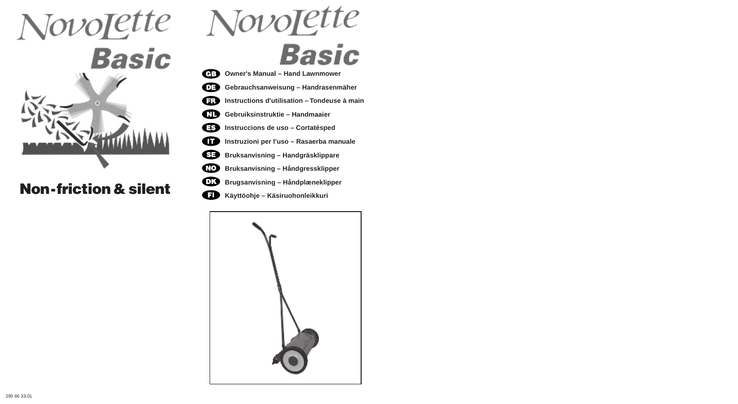

## **Non-friction & silent**

# **Basic**

- **Owner's Manual Hand Lawnmower**
	- **Gebrauchsanweisung Handrasenmäher**
	- **Instructions d'utilisation Tondeuse à main**
	- **Gebruiksinstruktie Handmaaier**
	- **Instruccions de uso Cortatésped**
	- **Instruzioni per l'uso Rasaerba manuale**
	- **Bruksanvisning Handgräsklippare**
	- **Bruksanvisning Håndgressklipper**
- **OR Brugsanvisning – Håndplæneklipper**
- $\mathbf \Omega$ **Käyttöohje – Käsiruohonleikkuri**

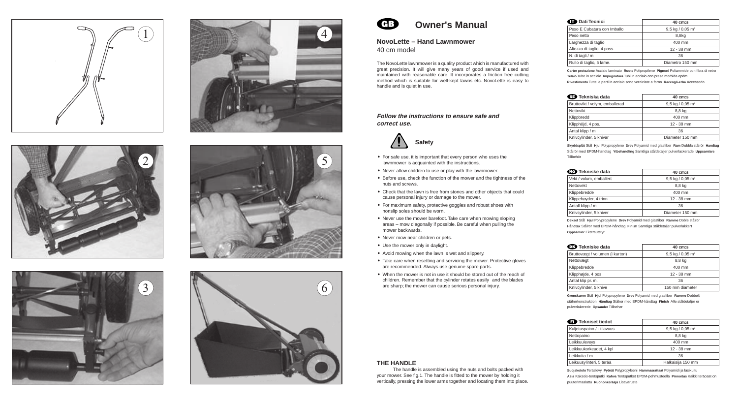













### **Owner's Manual**

#### **NovoLette – Hand Lawnmower** 40 cm model

The NovoLette lawnmower is a quality product which is manufactured with great precision. It will give many years of good service if used and maintained with reasonable care. It incorporates a friction free cutting method which is suitable for well-kept lawns etc. NovoLette is easy to handle and is quiet in use.

#### **Follow the instructions to ensure safe and correct use.**



- **•** For safe use, it is important that every person who uses the lawnmower is acquainted with the instructions.
- **•** Never allow children to use or play with the lawnmower.
- **•** Before use, check the function of the mower and the tightness of the nuts and screws.
- **•** Check that the lawn is free from stones and other objects that could cause personal injury or damage to the mower.
- **•** For maximum safety, protective goggles and robust shoes with nonslip soles should be worn.
- **•** Never use the mower barefoot. Take care when mowing sloping areas – mow diagonally if possible. Be careful when pulling the mower backwards.
- **•** Never mow near children or pets.
- **•** Use the mower only in daylight.
- **•** Avoid mowing when the lawn is wet and slippery.
- **•** Take care when resetting and servicing the mower. Protective gloves are recommended. Always use genuine spare parts.
- **•** When the mower is not in use it should be stored out of the reach of children. Remember that the cylinder rotates easily and the blades are sharp; the mower can cause serious personal injury.

| <b>D</b> Dati Tecnici       | $40 \, \text{cm}$ :s           |
|-----------------------------|--------------------------------|
| Peso E Cubatura con Imballo | $9.5$ kg / 0.05 m <sup>3</sup> |
| Peso netto                  | 8,8kg                          |
| Larghezza di taglio         | 400 mm                         |
| Altezza di taglio, 4 poss.  | $12 - 38$ mm                   |
| N. di tagli / m             | 36                             |
| Rullo di taglio, 5 lame.    | Diametro 150 mm                |
|                             |                                |

**Carter protezione** Acciaio laminato **Ruote** Polipropilene **Pignoni** Poliammide con fibra di vetro **Telaio** Tube in acciaio **Impugnatura** Tubi in acciaio con presa morbida epdm **Rivestimento** Tutte le parti in acciaio sono verniciate a forno **Raccogli-erba** Accessorio

| <b>ସ⊒ Tekniska data</b>        | $40 \, \text{cm}$ :s         |
|--------------------------------|------------------------------|
| Bruttovikt / volym, emballerad | 9,5 kg / 0,05 m <sup>3</sup> |
| <b>Nettovikt</b>               | 8,8 kg                       |
| Klippbredd                     | 400 mm                       |
| Klipphöjd, 4 pos.              | $12 - 38$ mm                 |
| Antal klipp / m                | 36                           |
| Knivcylinder, 5 knivar         | Diameter 150 mm              |
|                                |                              |

**Skyddsplåt** Stål **Hjul** Polypropylene **Drev** Polyamid med glasfiber **Ram** Dubbla stålrör **Handtag** Stålrör med EPDM-handtag **Ytbehandling** Samtliga ståldetaljer pulverlackerade **Uppsamlare** Tillbehör

| <b>CO</b> Tekniske data | $40 \, \text{cm}$ :s           |
|-------------------------|--------------------------------|
| Vekt / volum, emballert | $9.5$ kg / 0.05 m <sup>3</sup> |
| Nettovekt               | 8,8 kg                         |
| Klippebredde            | 400 mm                         |
| Klippehøyder, 4 trinn   | $12 - 38$ mm                   |
| Antall klipp / m        | 36                             |
| Knivsylinder, 5 kniver  | Diameter 150 mm                |

**Deksel** Stål **Hjul** Polypropylene **Drev** Polyamid med glasfiber **Ramme** Doble stålrör **Håndtak** Stålrör med EPDM-håndtag **Finish** Samtliga ståldetaljer pulverlakkert **Oppsamler** Ekstrautstyr

| <b>OR</b> Tekniske data         | $40 \, \text{cm}$ :s         |
|---------------------------------|------------------------------|
| Bruttovægt / volumen (i karton) | 9,5 kg / 0,05 m <sup>3</sup> |
| Nettovægt                       | 8,8 kg                       |
| Klippebredde                    | 400 mm                       |
| Klipphøjde, 4 pos               | $12 - 38$ mm                 |
| Antal klip pr. m.               | 36                           |
| Knivcylinder, 5 knive           | 150 mm diameter              |

**Grenskærm** Stål **Hjul** Polypropylene **Drev** Polyamid med glasfiber **Ramme** Dobbelt stålrørkonstruktion **Håndtag** Stålrør med EPDM-håndtag **Finish** Alle ståldetaljer er pulverlakerede **Opsamler** Tillbehør

| <b>ED</b> Tekniset tiedot  | $40 \, \text{cm}$ :s         |
|----------------------------|------------------------------|
| Kuljetuspaino / - tilavuus | 9,5 kg / 0,05 m <sup>3</sup> |
| Nettopaino                 | 8,8 kg                       |
| Leikkuuleveys              | 400 mm                       |
| Leikkuukorkeudet, 4 kpl    | $12 - 38$ mm                 |
| Leikkuita / m              | 36                           |
| Leikuusylinteri, 5 terää   | Halkaisija 150 mm            |

**Suojakotelo** Teräslevy **Pyörät** Polypropyleeni **Hammasrattaat** Polyamidi ja lasikuitu **Asia** Kaksois-teräsputki **Kahva** Teräsputket EPDM-pehmusteella **Pinnoitus** Kaikki teräosat on puuterimaalattu **Ruohonkerääjä** Lisävaruste

#### **THE HANDLE**

The handle is assembled using the nuts and bolts packed with your mower. See fig.1. The handle is fitted to the mower by holding it vertically, pressing the lower arms together and locating them into place.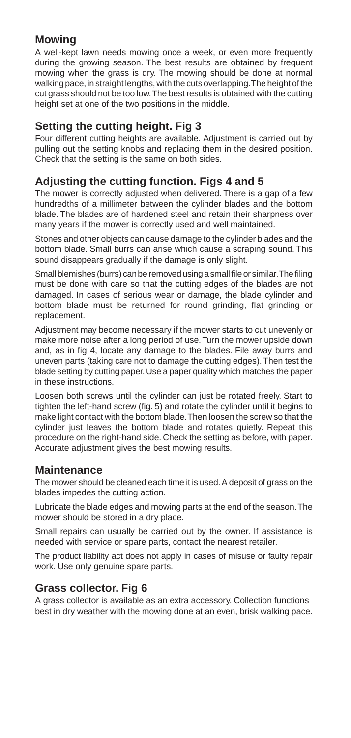#### **Mowing**

A well-kept lawn needs mowing once a week, or even more frequently during the growing season. The best results are obtained by frequent mowing when the grass is dry. The mowing should be done at normal walking pace, in straight lengths, with the cuts overlapping. The height of the cut grass should not be too low. The best results is obtained with the cutting height set at one of the two positions in the middle.

#### **Setting the cutting height. Fig 3**

Four different cutting heights are available. Adjustment is carried out by pulling out the setting knobs and replacing them in the desired position. Check that the setting is the same on both sides.

#### **Adjusting the cutting function. Figs 4 and 5**

The mower is correctly adjusted when delivered. There is a gap of a few hundredths of a millimeter between the cylinder blades and the bottom blade. The blades are of hardened steel and retain their sharpness over many years if the mower is correctly used and well maintained.

Stones and other objects can cause damage to the cylinder blades and the bottom blade. Small burrs can arise which cause a scraping sound. This sound disappears gradually if the damage is only slight.

Small blemishes (burrs) can be removed using a small file or similar. The filing must be done with care so that the cutting edges of the blades are not damaged. In cases of serious wear or damage, the blade cylinder and bottom blade must be returned for round grinding, flat grinding or replacement.

Adjustment may become necessary if the mower starts to cut unevenly or make more noise after a long period of use. Turn the mower upside down and, as in fig 4, locate any damage to the blades. File away burrs and uneven parts (taking care not to damage the cutting edges). Then test the blade setting by cutting paper. Use a paper quality which matches the paper in these instructions.

Loosen both screws until the cylinder can just be rotated freely. Start to tighten the left-hand screw (fig. 5) and rotate the cylinder until it begins to make light contact with the bottom blade. Then loosen the screw so that the cylinder just leaves the bottom blade and rotates quietly. Repeat this procedure on the right-hand side. Check the setting as before, with paper. Accurate adjustment gives the best mowing results.

#### **Maintenance**

The mower should be cleaned each time it is used. A deposit of grass on the blades impedes the cutting action.

Lubricate the blade edges and mowing parts at the end of the season. The mower should be stored in a dry place.

Small repairs can usually be carried out by the owner. If assistance is needed with service or spare parts, contact the nearest retailer.

The product liability act does not apply in cases of misuse or faulty repair work. Use only genuine spare parts.

#### **Grass collector. Fig 6**

A grass collector is available as an extra accessory. Collection functions best in dry weather with the mowing done at an even, brisk walking pace.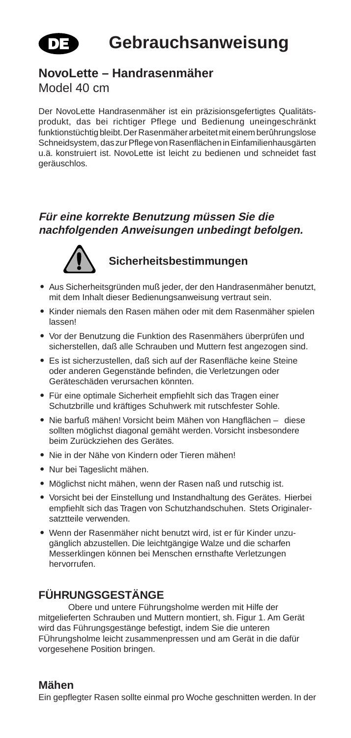

## **Gebrauchsanweisung**

#### **NovoLette – Handrasenmäher**

#### Model 40 cm

Der NovoLette Handrasenmäher ist ein präzisionsgefertigtes Qualitätsprodukt, das bei richtiger Pflege und Bedienung uneingeschränkt funktionstüchtig bleibt. Der Rasenmäher arbeitet mit einem berûhrungslose Schneidsystem, das zur Pflege von Rasenflächen in Einfamilienhausgärten u.ä. konstruiert ist. NovoLette ist leicht zu bedienen und schneidet fast geräuschlos.

#### **Für eine korrekte Benutzung müssen Sie die nachfolgenden Anweisungen unbedingt befolgen.**



#### **Sicherheitsbestimmungen**

- **•** Aus Sicherheitsgründen muß jeder, der den Handrasenmäher benutzt, mit dem Inhalt dieser Bedienungsanweisung vertraut sein.
- **•** Kinder niemals den Rasen mähen oder mit dem Rasenmäher spielen lassen!
- **•** Vor der Benutzung die Funktion des Rasenmähers überprüfen und sicherstellen, daß alle Schrauben und Muttern fest angezogen sind.
- **•** Es ist sicherzustellen, daß sich auf der Rasenfläche keine Steine oder anderen Gegenstände befinden, die Verletzungen oder Geräteschäden verursachen könnten.
- **•** Für eine optimale Sicherheit empfiehlt sich das Tragen einer Schutzbrille und kräftiges Schuhwerk mit rutschfester Sohle.
- **•** Nie barfuß mähen! Vorsicht beim Mähen von Hangflächen diese sollten möglichst diagonal gemäht werden. Vorsicht insbesondere beim Zurückziehen des Gerätes.
- **•** Nie in der Nähe von Kindern oder Tieren mähen!
- **•** Nur bei Tageslicht mähen.
- **•** Möglichst nicht mähen, wenn der Rasen naß und rutschig ist.
- **•** Vorsicht bei der Einstellung und Instandhaltung des Gerätes. Hierbei empfiehlt sich das Tragen von Schutzhandschuhen. Stets Originalersatztteile verwenden.
- **•** Wenn der Rasenmäher nicht benutzt wird, ist er für Kinder unzugänglich abzustellen. Die leichtgängige Walze und die scharfen Messerklingen können bei Menschen ernsthafte Verletzungen hervorrufen.

#### **FÜHRUNGSGESTÄNGE**

Obere und untere Führungsholme werden mit Hilfe der mitgelieferten Schrauben und Muttern montiert, sh. Figur 1. Am Gerät wird das Führungsgestänge befestigt, indem Sie die unteren FÜhrungsholme leicht zusammenpressen und am Gerät in die dafür vorgesehene Position bringen.

#### **Mähen**

Ein gepflegter Rasen sollte einmal pro Woche geschnitten werden. In der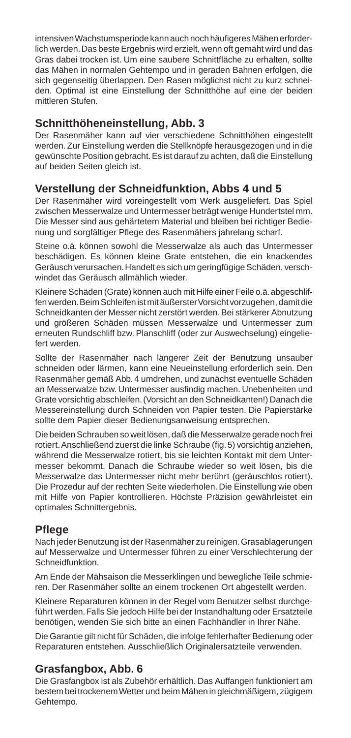intensiven Wachstumsperiode kann auch noch häufigeres Mähen erforderlich werden. Das beste Ergebnis wird erzielt, wenn oft gemäht wird und das Gras dabei trocken ist. Um eine saubere Schnittfläche zu erhalten, sollte das Mähen in normalen Gehtempo und in geraden Bahnen erfolgen, die sich gegenseitig überlappen. Den Rasen möglichst nicht zu kurz schneiden. Optimal ist eine Einstellung der Schnitthöhe auf eine der beiden mittleren Stufen.

#### **Schnitthöheneinstellung, Abb. 3**

Der Rasenmäher kann auf vier verschiedene Schnitthöhen eingestellt werden. Zur Einstellung werden die Stellknöpfe herausgezogen und in die gewünschte Position gebracht. Es ist darauf zu achten, daß die Einstellung auf beiden Seiten gleich ist.

#### **Verstellung der Schneidfunktion, Abbs 4 und 5**

Der Rasenmäher wird voreingestellt vom Werk ausgeliefert. Das Spiel zwischen Messerwalze und Untermesser beträgt wenige Hundertstel mm. Die Messer sind aus gehärtetem Material und bleiben bei richtiger Bedienung und sorgfältiger Pflege des Rasenmähers jahrelang scharf.

Steine o.ä. können sowohl die Messerwalze als auch das Untermesser beschädigen. Es können kleine Grate entstehen, die ein knackendes Geräusch verursachen. Handelt es sich um geringfügige Schäden, verschwindet das Geräusch allmählich wieder.

Kleinere Schäden (Grate) können auch mit Hilfe einer Feile o.ä. abgeschliffen werden. Beim Schleifen ist mit äußerster Vorsicht vorzugehen, damit die Schneidkanten der Messer nicht zerstört werden. Bei stärkerer Abnutzung und größeren Schäden müssen Messerwalze und Untermesser zum erneuten Rundschliff bzw. Planschliff (oder zur Auswechselung) eingeliefert werden.

Sollte der Rasenmäher nach längerer Zeit der Benutzung unsauber schneiden oder lärmen, kann eine Neueinstellung erforderlich sein. Den Rasenmäher gemäß Abb. 4 umdrehen, und zunächst eventuelle Schäden an Messerwalze bzw. Untermesser ausfindig machen. Unebenheiten und Grate vorsichtig abschleifen. (Vorsicht an den Schneidkanten!) Danach die Messereinstellung durch Schneiden von Papier testen. Die Papierstärke sollte dem Papier dieser Bedienungsanweisung entsprechen.

Die beiden Schrauben so weit lösen, daß die Messerwalze gerade noch frei rotiert. Anschließend zuerst die linke Schraube (fig. 5) vorsichtig anziehen, während die Messerwalze rotiert, bis sie leichten Kontakt mit dem Untermesser bekommt. Danach die Schraube wieder so weit lösen, bis die Messerwalze das Untermesser nicht mehr berührt (geräuschlos rotiert). Die Prozedur auf der rechten Seite wiederholen. Die Einstellung wie oben mit Hilfe von Papier kontrollieren. Höchste Präzision gewährleistet ein optimales Schnittergebnis.

#### **Pflege**

Nach jeder Benutzung ist der Rasenmäher zu reinigen. Grasablagerungen auf Messerwalze und Untermesser führen zu einer Verschlechterung der Schneidfunktion.

Am Ende der Mähsaison die Messerklingen und bewegliche Teile schmieren. Der Rasenmäher sollte an einem trockenen Ort abgestellt werden.

Kleinere Reparaturen können in der Regel vom Benutzer selbst durchgeführt werden. Falls Sie jedoch Hilfe bei der Instandhaltung oder Ersatzteile benötigen, wenden Sie sich bitte an einen Fachhändler in Ihrer Nähe.

Die Garantie gilt nicht für Schäden, die infolge fehlerhafter Bedienung oder Reparaturen entstehen. Ausschließlich Originalersatzteile verwenden.

#### **Grasfangbox, Abb. 6**

Die Grasfangbox ist als Zubehör erhältlich. Das Auffangen funktioniert am bestem bei trockenem Wetter und beim Mähen in gleichmäßigem, zügigem Gehtempo.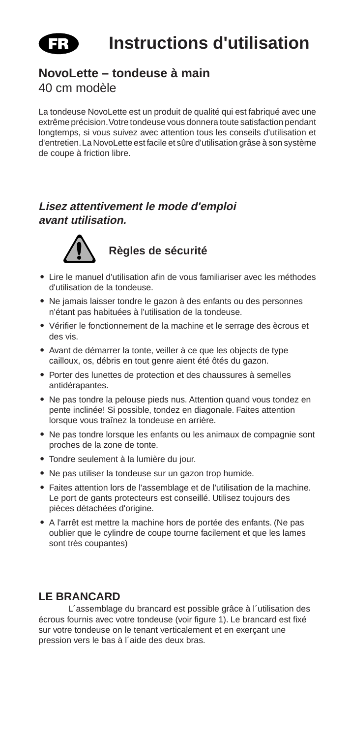

#### **NovoLette – tondeuse à main**

40 cm modèle

La tondeuse NovoLette est un produit de qualité qui est fabriqué avec une extrême précision. Votre tondeuse vous donnera toute satisfaction pendant longtemps, si vous suivez avec attention tous les conseils d'utilisation et d'entretien. La NovoLette est facile et sûre d'utilisation grâse à son système de coupe à friction libre.

#### **Lisez attentivement le mode d'emploi avant utilisation.**



#### **Règles de sécurité**

- **•** Lire le manuel d'utilisation afin de vous familiariser avec les méthodes d'utilisation de la tondeuse.
- **•** Ne jamais laisser tondre le gazon à des enfants ou des personnes n'étant pas habituées à l'utilisation de la tondeuse.
- **•** Vérifier le fonctionnement de la machine et le serrage des ècrous et des vis.
- **•** Avant de démarrer la tonte, veiller à ce que les objects de type cailloux, os, débris en tout genre aient été ôtés du gazon.
- **•** Porter des lunettes de protection et des chaussures à semelles antidérapantes.
- **•** Ne pas tondre la pelouse pieds nus. Attention quand vous tondez en pente inclinée! Si possible, tondez en diagonale. Faites attention lorsque vous traînez la tondeuse en arrière.
- **•** Ne pas tondre lorsque les enfants ou les animaux de compagnie sont proches de la zone de tonte.
- **•** Tondre seulement à la lumière du jour.
- **•** Ne pas utiliser la tondeuse sur un gazon trop humide.
- **•** Faites attention lors de l'assemblage et de l'utilisation de la machine. Le port de gants protecteurs est conseillé. Utilisez toujours des pièces détachées d'origine.
- **•** A l'arrêt est mettre la machine hors de portée des enfants. (Ne pas oublier que le cylindre de coupe tourne facilement et que les lames sont très coupantes)

#### **LE BRANCARD**

L´assemblage du brancard est possible grâce à l´utilisation des écrous fournis avec votre tondeuse (voir figure 1). Le brancard est fixé sur votre tondeuse on le tenant verticalement et en exerçant une pression vers le bas à l´aide des deux bras.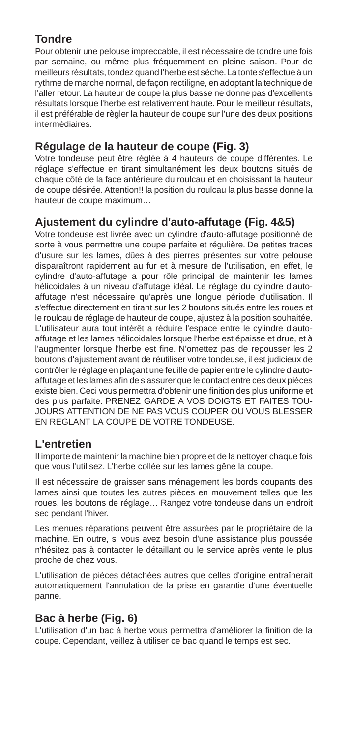#### **Tondre**

Pour obtenir une pelouse impreccable, il est nécessaire de tondre une fois par semaine, ou même plus fréquemment en pleine saison. Pour de meilleurs résultats, tondez quand l'herbe est sèche. La tonte s'effectue à un rythme de marche normal, de façon rectiligne, en adoptant la technique de l'aller retour. La hauteur de coupe la plus basse ne donne pas d'excellents résultats lorsque l'herbe est relativement haute. Pour le meilleur résultats, il est préférable de règler la hauteur de coupe sur l'une des deux positions intermédiaires.

#### **Régulage de la hauteur de coupe (Fig. 3)**

Votre tondeuse peut être réglée à 4 hauteurs de coupe différentes. Le réglage s'effectue en tirant simultanément les deux boutons situés de chaque côté de la face antérieure du roulcau et en choisissant la hauteur de coupe désirée. Attention!! la position du roulcau la plus basse donne la hauteur de coupe maximum…

#### **Ajustement du cylindre d'auto-affutage (Fig. 4&5)**

Votre tondeuse est livrée avec un cylindre d'auto-affutage positionné de sorte à vous permettre une coupe parfaite et régulière. De petites traces d'usure sur les lames, dûes à des pierres présentes sur votre pelouse disparaîtront rapidement au fur et à mesure de l'utilisation, en effet, le cylindre d'auto-affutage a pour rôle principal de maintenir les lames hélicoidales à un niveau d'affutage idéal. Le réglage du cylindre d'autoaffutage n'est nécessaire qu'après une longue période d'utilisation. Il s'effectue directement en tirant sur les 2 boutons situés entre les roues et le roulcau de réglage de hauteur de coupe, ajustez à la position souhaitée. L'utilisateur aura tout intérêt a réduire l'espace entre le cylindre d'autoaffutage et les lames hélicoidales lorsque l'herbe est épaisse et drue, et à l'augmenter lorsque l'herbe est fine. N'omettez pas de repousser les 2 boutons d'ajustement avant de réutiliser votre tondeuse, il est judicieux de contrôler le réglage en plaçant une feuille de papier entre le cylindre d'autoaffutage et les lames afin de s'assurer que le contact entre ces deux pièces existe bien. Ceci vous permettra d'obtenir une finition des plus uniforme et des plus parfaite. PRENEZ GARDE A VOS DOIGTS ET FAITES TOU-JOURS ATTENTION DE NE PAS VOUS COUPER OU VOUS BLESSER EN REGLANT LA COUPE DE VOTRE TONDEUSE.

#### **L'entretien**

Il importe de maintenir la machine bien propre et de la nettoyer chaque fois que vous l'utilisez. L'herbe collée sur les lames gêne la coupe.

Il est nécessaire de graisser sans ménagement les bords coupants des lames ainsi que toutes les autres pièces en mouvement telles que les roues, les boutons de réglage… Rangez votre tondeuse dans un endroit sec pendant l'hiver.

Les menues réparations peuvent être assurées par le propriétaire de la machine. En outre, si vous avez besoin d'une assistance plus poussée n'hésitez pas à contacter le détaillant ou le service après vente le plus proche de chez vous.

L'utilisation de pièces détachées autres que celles d'origine entraînerait automatiquement l'annulation de la prise en garantie d'une éventuelle panne.

#### **Bac à herbe (Fig. 6)**

L'utilisation d'un bac à herbe vous permettra d'améliorer la finition de la coupe. Cependant, veillez à utiliser ce bac quand le temps est sec.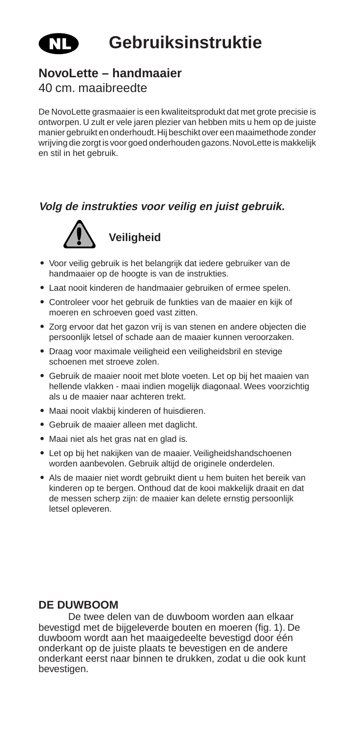

## **Gebruiksinstruktie**

#### **NovoLette – handmaaier**

#### 40 cm. maaibreedte

De NovoLette grasmaaier is een kwaliteitsprodukt dat met grote precisie is ontworpen. U zult er vele jaren plezier van hebben mits u hem op de juiste manier gebruikt en onderhoudt. Hij beschikt over een maaimethode zonder wrijving die zorgt is voor goed onderhouden gazons. NovoLette is makkelijk en stil in het gebruik.

#### **Volg de instrukties voor veilig en juist gebruik.**



**Veiligheid**

- **•** Voor veilig gebruik is het belangrijk dat iedere gebruiker van de handmaaier op de hoogte is van de instrukties.
- **•** Laat nooit kinderen de handmaaier gebruiken of ermee spelen.
- **•** Controleer voor het gebruik de funkties van de maaier en kijk of moeren en schroeven goed vast zitten.
- **•** Zorg ervoor dat het gazon vrij is van stenen en andere objecten die persoonlijk letsel of schade aan de maaier kunnen veroorzaken.
- **•** Draag voor maximale veiligheid een veiligheidsbril en stevige schoenen met stroeve zolen.
- **•** Gebruik de maaier nooit met blote voeten. Let op bij het maaien van hellende vlakken - maai indien mogelijk diagonaal. Wees voorzichtig als u de maaier naar achteren trekt.
- **•** Maai nooit vlakbij kinderen of huisdieren.
- **•** Gebruik de maaier alleen met daglicht.
- **•** Maai niet als het gras nat en glad is.
- **•** Let op bij het nakijken van de maaier. Veiligheidshandschoenen worden aanbevolen. Gebruik altijd de originele onderdelen.
- **•** Als de maaier niet wordt gebruikt dient u hem buiten het bereik van kinderen op te bergen. Onthoud dat de kooi makkelijk draait en dat de messen scherp zijn: de maaier kan delete ernstig persoonlijk letsel opleveren.

#### **DE DUWBOOM**

De twee delen van de duwboom worden aan elkaar bevestigd met de bijgeleverde bouten en moeren (fig. 1). De duwboom wordt aan het maaigedeelte bevestigd door één onderkant op de juiste plaats te bevestigen en de andere onderkant eerst naar binnen te drukken, zodat u die ook kunt bevestigen.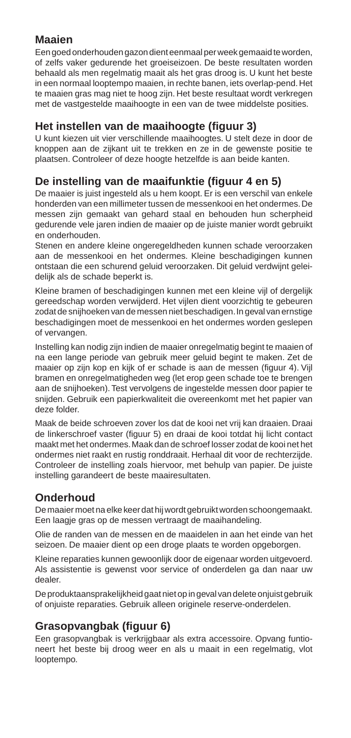#### **Maaien**

Een goed onderhouden gazon dient eenmaal per week gemaaid te worden, of zelfs vaker gedurende het groeiseizoen. De beste resultaten worden behaald als men regelmatig maait als het gras droog is. U kunt het beste in een normaal looptempo maaien, in rechte banen, iets overlap-pend. Het te maaien gras mag niet te hoog zijn. Het beste resultaat wordt verkregen met de vastgestelde maaihoogte in een van de twee middelste posities.

#### **Het instellen van de maaihoogte (figuur 3)**

U kunt kiezen uit vier verschillende maaihoogtes. U stelt deze in door de knoppen aan de zijkant uit te trekken en ze in de gewenste positie te plaatsen. Controleer of deze hoogte hetzelfde is aan beide kanten.

#### **De instelling van de maaifunktie (figuur 4 en 5)**

De maaier is juist ingesteld als u hem koopt. Er is een verschil van enkele honderden van een millimeter tussen de messenkooi en het ondermes. De messen zijn gemaakt van gehard staal en behouden hun scherpheid gedurende vele jaren indien de maaier op de juiste manier wordt gebruikt en onderhouden.

Stenen en andere kleine ongeregeldheden kunnen schade veroorzaken aan de messenkooi en het ondermes. Kleine beschadigingen kunnen ontstaan die een schurend geluid veroorzaken. Dit geluid verdwijnt geleidelijk als de schade beperkt is.

Kleine bramen of beschadigingen kunnen met een kleine vijl of dergelijk gereedschap worden verwijderd. Het vijlen dient voorzichtig te gebeuren zodat de snijhoeken van de messen niet beschadigen. In geval van ernstige beschadigingen moet de messenkooi en het ondermes worden geslepen of vervangen.

Instelling kan nodig zijn indien de maaier onregelmatig begint te maaien of na een lange periode van gebruik meer geluid begint te maken. Zet de maaier op zijn kop en kijk of er schade is aan de messen (figuur 4). Vijl bramen en onregelmatigheden weg (let erop geen schade toe te brengen aan de snijhoeken). Test vervolgens de ingestelde messen door papier te snijden. Gebruik een papierkwaliteit die overeenkomt met het papier van deze folder.

Maak de beide schroeven zover los dat de kooi net vrij kan draaien. Draai de linkerschroef vaster (figuur 5) en draai de kooi totdat hij licht contact maakt met het ondermes. Maak dan de schroef losser zodat de kooi net het ondermes niet raakt en rustig ronddraait. Herhaal dit voor de rechterzijde. Controleer de instelling zoals hiervoor, met behulp van papier. De juiste instelling garandeert de beste maairesultaten.

#### **Onderhoud**

De maaier moet na elke keer dat hij wordt gebruikt worden schoongemaakt. Een laagje gras op de messen vertraagt de maaihandeling.

Olie de randen van de messen en de maaidelen in aan het einde van het seizoen. De maaier dient op een droge plaats te worden opgeborgen.

Kleine reparaties kunnen gewoonlijk door de eigenaar worden uitgevoerd. Als assistentie is gewenst voor service of onderdelen ga dan naar uw dealer.

De produktaansprakelijkheid gaat niet op in geval van delete onjuist gebruik of onjuiste reparaties. Gebruik alleen originele reserve-onderdelen.

#### **Grasopvangbak (figuur 6)**

Een grasopvangbak is verkrijgbaar als extra accessoire. Opvang funtioneert het beste bij droog weer en als u maait in een regelmatig, vlot looptempo.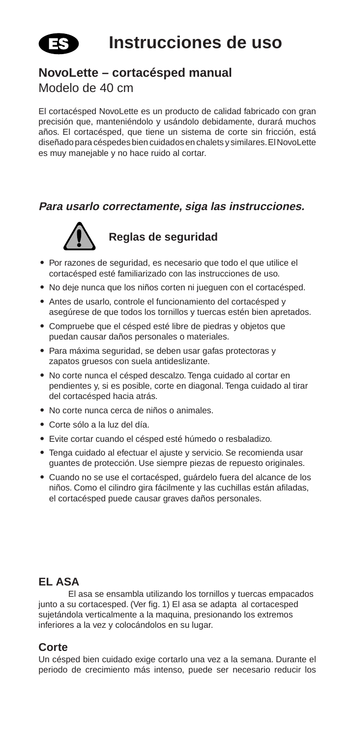

#### **NovoLette – cortacésped manual**

#### Modelo de 40 cm

El cortacésped NovoLette es un producto de calidad fabricado con gran precisión que, manteniéndolo y usándolo debidamente, durará muchos años. El cortacésped, que tiene un sistema de corte sin fricción, está diseñado para céspedes bien cuidados en chalets y similares. El NovoLette es muy manejable y no hace ruido al cortar.

#### **Para usarlo correctamente, siga las instrucciones.**



**Reglas de seguridad**

- **•** Por razones de seguridad, es necesario que todo el que utilice el cortacésped esté familiarizado con las instrucciones de uso.
- **•** No deje nunca que los niños corten ni jueguen con el cortacésped.
- **•** Antes de usarlo, controle el funcionamiento del cortacésped y asegúrese de que todos los tornillos y tuercas estén bien apretados.
- **•** Compruebe que el césped esté libre de piedras y objetos que puedan causar daños personales o materiales.
- **•** Para máxima seguridad, se deben usar gafas protectoras y zapatos gruesos con suela antideslizante.
- **•** No corte nunca el césped descalzo. Tenga cuidado al cortar en pendientes y, si es posible, corte en diagonal. Tenga cuidado al tirar del cortacésped hacia atrás.
- **•** No corte nunca cerca de niños o animales.
- **•** Corte sólo a la luz del día.
- **•** Evite cortar cuando el césped esté húmedo o resbaladizo.
- **•** Tenga cuidado al efectuar el ajuste y servicio. Se recomienda usar guantes de protección. Use siempre piezas de repuesto originales.
- **•** Cuando no se use el cortacésped, guárdelo fuera del alcance de los niños. Como el cilindro gira fácilmente y las cuchillas están afiladas, el cortacésped puede causar graves daños personales.

#### **EL ASA**

El asa se ensambla utilizando los tornillos y tuercas empacados junto a su cortacesped. (Ver fig. 1) El asa se adapta al cortacesped sujetándola verticalmente a la maquina, presionando los extremos inferiores a la vez y colocándolos en su lugar.

#### **Corte**

Un césped bien cuidado exige cortarlo una vez a la semana. Durante el periodo de crecimiento más intenso, puede ser necesario reducir los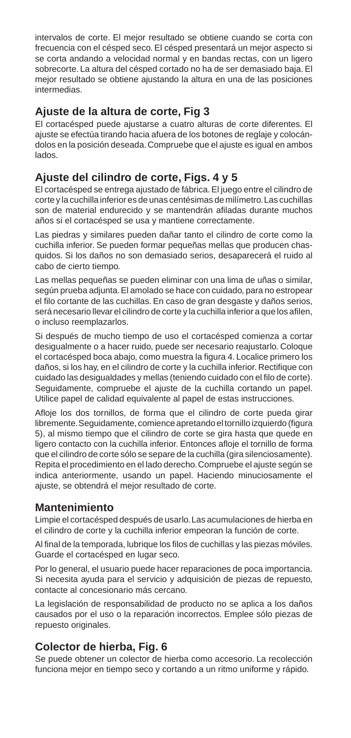intervalos de corte. El mejor resultado se obtiene cuando se corta con frecuencia con el césped seco. El césped presentará un mejor aspecto si se corta andando a velocidad normal y en bandas rectas, con un ligero sobrecorte. La altura del césped cortado no ha de ser demasiado baja. El mejor resultado se obtiene ajustando la altura en una de las posiciones intermedias.

#### **Ajuste de la altura de corte, Fig 3**

El cortacésped puede ajustarse a cuatro alturas de corte diferentes. El ajuste se efectúa tirando hacia afuera de los botones de reglaje y colocándolos en la posición deseada. Compruebe que el ajuste es igual en ambos lados.

#### **Ajuste del cilindro de corte, Figs. 4 y 5**

El cortacésped se entrega ajustado de fábrica. El juego entre el cilindro de corte y la cuchilla inferior es de unas centésimas de milímetro. Las cuchillas son de material endurecido y se mantendrán afiladas durante muchos años si el cortacésped se usa y mantiene correctamente.

Las piedras y similares pueden dañar tanto el cilindro de corte como la cuchilla inferior. Se pueden formar pequeñas mellas que producen chasquidos. Si los daños no son demasiado serios, desaparecerá el ruido al cabo de cierto tiempo.

Las mellas pequeñas se pueden eliminar con una lima de uñas o similar, según prueba adjunta. El amolado se hace con cuidado, para no estropear el filo cortante de las cuchillas. En caso de gran desgaste y daños serios, será necesario llevar el cilindro de corte y la cuchilla inferior a que los afilen, o incluso reemplazarlos.

Si después de mucho tiempo de uso el cortacésped comienza a cortar desigualmente o a hacer ruido, puede ser necesario reajustarlo. Coloque el cortacésped boca abajo, como muestra la figura 4. Localice primero los daños, si los hay, en el cilindro de corte y la cuchilla inferior. Rectifique con cuidado las desigualdades y mellas (teniendo cuidado con el filo de corte). Seguidamente, compruebe el ajuste de la cuchilla cortando un papel. Utilice papel de calidad equivalente al papel de estas instrucciones.

Afloje los dos tornillos, de forma que el cilindro de corte pueda girar libremente. Seguidamente, comience apretando el tornillo izquierdo (figura 5), al mismo tiempo que el cilindro de corte se gira hasta que quede en ligero contacto con la cuchilla inferior. Entonces afloje el tornillo de forma que el cilindro de corte sólo se separe de la cuchilla (gira silenciosamente). Repita el procedimiento en el lado derecho. Compruebe el ajuste según se indica anteriormente, usando un papel. Haciendo minuciosamente el ajuste, se obtendrá el mejor resultado de corte.

#### **Mantenimiento**

Limpie el cortacésped después de usarlo. Las acumulaciones de hierba en el cilindro de corte y la cuchilla inferior empeoran la función de corte.

Al final de la temporada, lubrique los filos de cuchillas y las piezas móviles. Guarde el cortacésped en lugar seco.

Por lo general, el usuario puede hacer reparaciones de poca importancia. Si necesita ayuda para el servicio y adquisición de piezas de repuesto, contacte al concesionario más cercano.

La legislación de responsabilidad de producto no se aplica a los daños causados por el uso o la reparación incorrectos. Emplee sólo piezas de repuesto originales.

#### **Colector de hierba, Fig. 6**

Se puede obtener un colector de hierba como accesorio. La recolección funciona mejor en tiempo seco y cortando a un ritmo uniforme y rápido.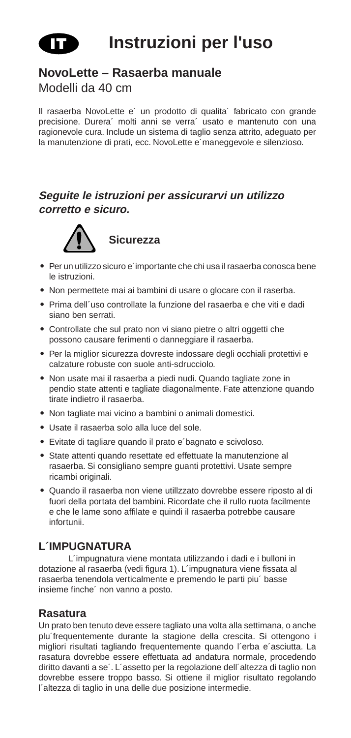

#### **NovoLette – Rasaerba manuale**

Modelli da 40 cm

Il rasaerba NovoLette e´ un prodotto di qualita´ fabricato con grande precisione. Durera´ molti anni se verra´ usato e mantenuto con una ragionevole cura. Include un sistema di taglio senza attrito, adeguato per la manutenzione di prati, ecc. NovoLette e´maneggevole e silenzioso.

#### **Seguite le istruzioni per assicurarvi un utilizzo corretto e sicuro.**



- **•** Per un utilizzo sicuro e´importante che chi usa il rasaerba conosca bene le istruzioni.
- **•** Non permettete mai ai bambini di usare o glocare con il raserba.
- **•** Prima dell´uso controllate la funzione del rasaerba e che viti e dadi siano ben serrati.
- **•** Controllate che sul prato non vi siano pietre o altri oggetti che possono causare ferimenti o danneggiare il rasaerba.
- **•** Per la miglior sicurezza dovreste indossare degli occhiali protettivi e calzature robuste con suole anti-sdrucciolo.
- **•** Non usate mai il rasaerba a piedi nudi. Quando tagliate zone in pendio state attenti e tagliate diagonalmente. Fate attenzione quando tirate indietro il rasaerba.
- **•** Non tagliate mai vicino a bambini o animali domestici.
- **•** Usate il rasaerba solo alla luce del sole.
- **•** Evitate di tagliare quando il prato e´bagnato e scivoloso.
- **•** State attenti quando resettate ed effettuate la manutenzione al rasaerba. Si consigliano sempre guanti protettivi. Usate sempre ricambi originali.
- **•** Quando il rasaerba non viene utillzzato dovrebbe essere riposto al di fuori della portata del bambini. Ricordate che il rullo ruota facilmente e che le lame sono affilate e quindi il rasaerba potrebbe causare infortunii.

#### **L´IMPUGNATURA**

L´impugnatura viene montata utilizzando i dadi e i bulloni in dotazione al rasaerba (vedi figura 1). L´impugnatura viene fissata al rasaerba tenendola verticalmente e premendo le parti piu´ basse insieme finche´ non vanno a posto.

#### **Rasatura**

Un prato ben tenuto deve essere tagliato una volta alla settimana, o anche plu´frequentemente durante la stagione della crescita. Si ottengono i migliori risultati tagliando frequentemente quando l´erba e´asciutta. La rasatura dovrebbe essere effettuata ad andatura normale, procedendo diritto davanti a se´. L´assetto per la regolazione dell´altezza di taglio non dovrebbe essere troppo basso. Si ottiene il miglior risultato regolando l´altezza di taglio in una delle due posizione intermedie.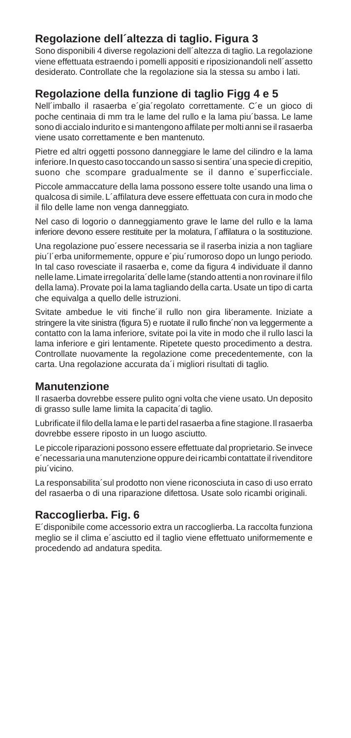#### **Regolazione dell´altezza di taglio. Figura 3**

Sono disponibili 4 diverse regolazioni dell<sup>'</sup>altezza di taglio. La regolazione viene effettuata estraendo i pomelli appositi e riposizionandoli nell´assetto desiderato. Controllate che la regolazione sia la stessa su ambo i lati.

#### **Regolazione della funzione di taglio Figg 4 e 5**

Nell´imballo il rasaerba e´gia´regolato correttamente. C´e un gioco di poche centinaia di mm tra le lame del rullo e la lama piu´bassa. Le lame sono di accialo indurito e si mantengono affilate per molti anni se il rasaerba viene usato correttamente e ben mantenuto.

Pietre ed altri oggetti possono danneggiare le lame del cilindro e la lama inferiore. In questo caso toccando un sasso si sentira´una specie di crepitio, suono che scompare gradualmente se il danno e´superficciale.

Piccole ammaccature della lama possono essere tolte usando una lima o qualcosa di simile. L´affilatura deve essere effettuata con cura in modo che il filo delle lame non venga danneggiato.

Nel caso di logorio o danneggiamento grave le lame del rullo e la lama inferiore devono essere restituite per la molatura, l´affilatura o la sostituzione.

Una regolazione puo´essere necessaria se il raserba inizia a non tagliare piu´l´erba uniformemente, oppure e´piu´rumoroso dopo un lungo periodo. In tal caso rovesciate il rasaerba e, come da figura 4 individuate il danno nelle lame. Limate irregolarita´delle lame (stando attenti a non rovinare il filo della lama). Provate poi la lama tagliando della carta. Usate un tipo di carta che equivalga a quello delle istruzioni.

Svitate ambedue le viti finche´il rullo non gira liberamente. Iniziate a stringere la vite sinistra (figura 5) e ruotate il rullo finche´non va leggermente a contatto con la lama inferiore, svitate poi la vite in modo che il rullo lasci la lama inferiore e giri lentamente. Ripetete questo procedimento a destra. Controllate nuovamente la regolazione come precedentemente, con la carta. Una regolazione accurata da´i migliori risultati di taglio.

#### **Manutenzione**

Il rasaerba dovrebbe essere pulito ogni volta che viene usato. Un deposito di grasso sulle lame limita la capacita´di taglio.

Lubrificate il filo della lama e le parti del rasaerba a fine stagione. Il rasaerba dovrebbe essere riposto in un luogo asciutto.

Le piccole riparazioni possono essere effettuate dal proprietario. Se invece e´necessaria una manutenzione oppure dei ricambi contattate il rivenditore piu´vicino.

La responsabilita´sul prodotto non viene riconosciuta in caso di uso errato del rasaerba o di una riparazione difettosa. Usate solo ricambi originali.

#### **Raccoglierba. Fig. 6**

E´disponibile come accessorio extra un raccoglierba. La raccolta funziona meglio se il clima e´asciutto ed il taglio viene effettuato uniformemente e procedendo ad andatura spedita.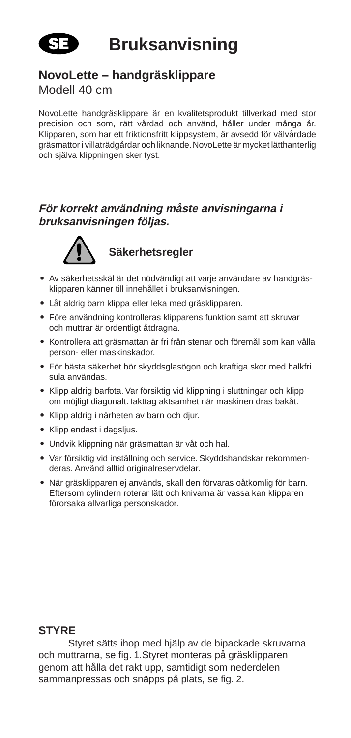

#### **NovoLette – handgräsklippare** Modell 40 cm

NovoLette handgräsklippare är en kvalitetsprodukt tillverkad med stor precision och som, rätt vårdad och använd, håller under många år. Klipparen, som har ett friktionsfritt klippsystem, är avsedd för välvårdade gräsmattor i villaträdgårdar och liknande. NovoLette är mycket lätthanterlig och själva klippningen sker tyst.

#### **För korrekt användning måste anvisningarna i bruksanvisningen följas.**



#### **Säkerhetsregler**

- **•** Av säkerhetsskäl är det nödvändigt att varje användare av handgräsklipparen känner till innehållet i bruksanvisningen.
- **•** Låt aldrig barn klippa eller leka med gräsklipparen.
- **•** Före användning kontrolleras klipparens funktion samt att skruvar och muttrar är ordentligt åtdragna.
- **•** Kontrollera att gräsmattan är fri från stenar och föremål som kan vålla person- eller maskinskador.
- **•** För bästa säkerhet bör skyddsglasögon och kraftiga skor med halkfri sula användas.
- **•** Klipp aldrig barfota. Var försiktig vid klippning i sluttningar och klipp om möjligt diagonalt. Iakttag aktsamhet när maskinen dras bakåt.
- **•** Klipp aldrig i närheten av barn och djur.
- **•** Klipp endast i dagsljus.
- **•** Undvik klippning när gräsmattan är våt och hal.
- **•** Var försiktig vid inställning och service. Skyddshandskar rekommenderas. Använd alltid originalreservdelar.
- **•** När gräsklipparen ej används, skall den förvaras oåtkomlig för barn. Eftersom cylindern roterar lätt och knivarna är vassa kan klipparen förorsaka allvarliga personskador.

#### **STYRE**

Styret sätts ihop med hjälp av de bipackade skruvarna och muttrarna, se fig. 1.Styret monteras på gräsklipparen genom att hålla det rakt upp, samtidigt som nederdelen sammanpressas och snäpps på plats, se fig. 2.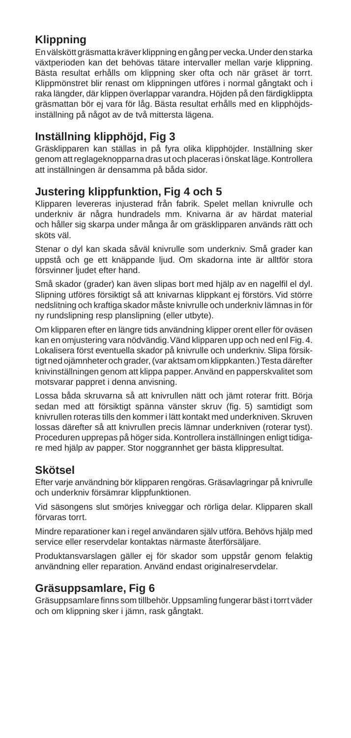#### **Klippning**

En välskött gräsmatta kräver klippning en gång per vecka. Under den starka växtperioden kan det behövas tätare intervaller mellan varje klippning. Bästa resultat erhålls om klippning sker ofta och när gräset är torrt. Klippmönstret blir renast om klippningen utföres i normal gångtakt och i raka längder, där klippen överlappar varandra. Höjden på den färdigklippta gräsmattan bör ej vara för låg. Bästa resultat erhålls med en klipphöjdsinställning på något av de två mittersta lägena.

#### **Inställning klipphöjd, Fig 3**

Gräsklipparen kan ställas in på fyra olika klipphöjder. Inställning sker genom att reglageknopparna dras ut och placeras i önskat läge. Kontrollera att inställningen är densamma på båda sidor.

#### **Justering klippfunktion, Fig 4 och 5**

Klipparen levereras injusterad från fabrik. Spelet mellan knivrulle och underkniv är några hundradels mm. Knivarna är av härdat material och håller sig skarpa under många år om gräsklipparen används rätt och sköts väl.

Stenar o dyl kan skada såväl knivrulle som underkniv. Små grader kan uppstå och ge ett knäppande ljud. Om skadorna inte är alltför stora försvinner ljudet efter hand.

Små skador (grader) kan även slipas bort med hjälp av en nagelfil el dyl. Slipning utföres försiktigt så att knivarnas klippkant ej förstörs. Vid större nedslitning och kraftiga skador måste knivrulle och underkniv lämnas in för ny rundslipning resp planslipning (eller utbyte).

Om klipparen efter en längre tids användning klipper orent eller för oväsen kan en omjustering vara nödvändig. Vänd klipparen upp och ned enl Fig. 4. Lokalisera först eventuella skador på knivrulle och underkniv. Slipa försiktigt ned ojämnheter och grader, (var aktsam om klippkanten.) Testa därefter knivinställningen genom att klippa papper. Använd en papperskvalitet som motsvarar pappret i denna anvisning.

Lossa båda skruvarna så att knivrullen nätt och jämt roterar fritt. Börja sedan med att försiktigt spänna vänster skruv (fig. 5) samtidigt som knivrullen roteras tills den kommer i lätt kontakt med underkniven. Skruven lossas därefter så att knivrullen precis lämnar underkniven (roterar tyst). Proceduren upprepas på höger sida. Kontrollera inställningen enligt tidigare med hjälp av papper. Stor noggrannhet ger bästa klippresultat.

#### **Skötsel**

Efter varje användning bör klipparen rengöras. Gräsavlagringar på knivrulle och underkniv försämrar klippfunktionen.

Vid säsongens slut smörjes kniveggar och rörliga delar. Klipparen skall förvaras torrt.

Mindre reparationer kan i regel användaren själv utföra. Behövs hjälp med service eller reservdelar kontaktas närmaste återförsäljare.

Produktansvarslagen gäller ej för skador som uppstår genom felaktig användning eller reparation. Använd endast originalreservdelar.

#### **Gräsuppsamlare, Fig 6**

Gräsuppsamlare finns som tillbehör. Uppsamling fungerar bäst i torrt väder och om klippning sker i jämn, rask gångtakt.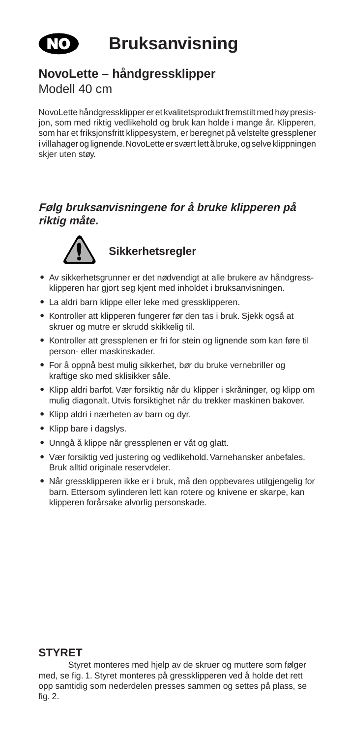

**Bruksanvisning**

## **NovoLette – håndgressklipper**

Modell 40 cm

NovoLette håndgressklipper er et kvalitetsprodukt fremstilt med høy presisjon, som med riktig vedlikehold og bruk kan holde i mange år. Klipperen, som har et friksjonsfritt klippesystem, er beregnet på velstelte gressplener i villahager og lignende. NovoLette er svært lett å bruke, og selve klippningen skjer uten støy.

#### **Følg bruksanvisningene for å bruke klipperen på riktig måte.**



#### **Sikkerhetsregler**

- **•** Av sikkerhetsgrunner er det nødvendigt at alle brukere av håndgressklipperen har gjort seg kjent med inholdet i bruksanvisningen.
- **•** La aldri barn klippe eller leke med gressklipperen.
- **•** Kontroller att klipperen fungerer før den tas i bruk. Sjekk også at skruer og mutre er skrudd skikkelig til.
- **•** Kontroller att gressplenen er fri for stein og lignende som kan føre til person- eller maskinskader.
- **•** For å oppnå best mulig sikkerhet, bør du bruke vernebriller og kraftige sko med sklisikker såle.
- **•** Klipp aldri barfot. Vær forsiktig når du klipper i skråninger, og klipp om mulig diagonalt. Utvis forsiktighet når du trekker maskinen bakover.
- **•** Klipp aldri i nærheten av barn og dyr.
- **•** Klipp bare i dagslys.
- **•** Unngå å klippe når gressplenen er våt og glatt.
- **•** Vær forsiktig ved justering og vedlikehold. Varnehansker anbefales. Bruk alltid originale reservdeler.
- **•** Når gressklipperen ikke er i bruk, må den oppbevares utilgjengelig for barn. Ettersom sylinderen lett kan rotere og knivene er skarpe, kan klipperen forårsake alvorlig personskade.

#### **STYRET**

Styret monteres med hjelp av de skruer og muttere som følger med, se fig. 1. Styret monteres på gressklipperen ved å holde det rett opp samtidig som nederdelen presses sammen og settes på plass, se fig. 2.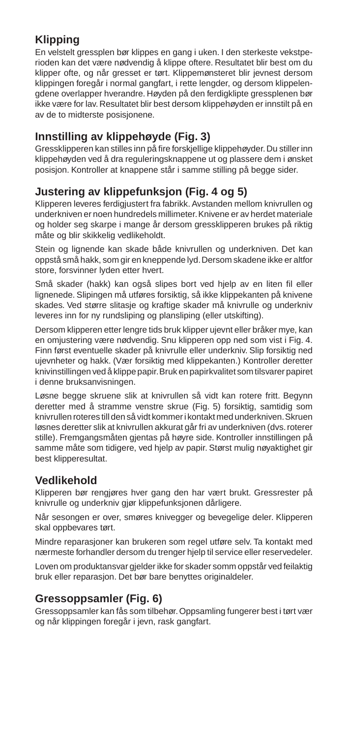#### **Klipping**

En velstelt gressplen bør klippes en gang i uken. I den sterkeste vekstperioden kan det være nødvendig å klippe oftere. Resultatet blir best om du klipper ofte, og når gresset er tørt. Klippemønsteret blir jevnest dersom klippingen foregår i normal gangfart, i rette lengder, og dersom klippelengdene overlapper hverandre. Høyden på den ferdigklipte gressplenen bør ikke være for lav. Resultatet blir best dersom klippehøyden er innstilt på en av de to midterste posisjonene.

#### **Innstilling av klippehøyde (Fig. 3)**

Gressklipperen kan stilles inn på fire forskjellige klippehøyder. Du stiller inn klippehøyden ved å dra reguleringsknappene ut og plassere dem i ønsket posisjon. Kontroller at knappene står i samme stilling på begge sider.

#### **Justering av klippefunksjon (Fig. 4 og 5)**

Klipperen leveres ferdigjustert fra fabrikk. Avstanden mellom knivrullen og underkniven er noen hundredels millimeter. Knivene er av herdet materiale og holder seg skarpe i mange år dersom gressklipperen brukes på riktig måte og blir skikkelig vedlikeholdt.

Stein og lignende kan skade både knivrullen og underkniven. Det kan oppstå små hakk, som gir en kneppende lyd. Dersom skadene ikke er altfor store, forsvinner lyden etter hvert.

Små skader (hakk) kan også slipes bort ved hjelp av en liten fil eller lignenede. Slipingen må utføres forsiktig, så ikke klippekanten på knivene skades. Ved større slitasje og kraftige skader må knivrulle og underkniv leveres inn for ny rundsliping og plansliping (eller utskifting).

Dersom klipperen etter lengre tids bruk klipper ujevnt eller bråker mye, kan en omjustering være nødvendig. Snu klipperen opp ned som vist i Fig. 4. Finn først eventuelle skader på knivrulle eller underkniv. Slip forsiktig ned ujevnheter og hakk. (Vær forsiktig med klippekanten.) Kontroller deretter knivinstillingen ved å klippe papir. Bruk en papirkvalitet som tilsvarer papiret i denne bruksanvisningen.

Løsne begge skruene slik at knivrullen så vidt kan rotere fritt. Begynn deretter med å stramme venstre skrue (Fig. 5) forsiktig, samtidig som knivrullen roteres till den så vidt kommer i kontakt med underkniven. Skruen løsnes deretter slik at knivrullen akkurat går fri av underkniven (dvs. roterer stille). Fremgangsmåten gjentas på høyre side. Kontroller innstillingen på samme måte som tidigere, ved hjelp av papir. Størst mulig nøyaktighet gir best klipperesultat.

#### **Vedlikehold**

Klipperen bør rengjøres hver gang den har vært brukt. Gressrester på knivrulle og underkniv gjør klippefunksjonen dårligere.

Når sesongen er over, smøres knivegger og bevegelige deler. Klipperen skal oppbevares tørt.

Mindre reparasjoner kan brukeren som regel utføre selv. Ta kontakt med nærmeste forhandler dersom du trenger hjelp til service eller reservedeler.

Loven om produktansvar gjelder ikke for skader somm oppstår ved feilaktig bruk eller reparasjon. Det bør bare benyttes originaldeler.

#### **Gressoppsamler (Fig. 6)**

Gressoppsamler kan fås som tilbehør. Oppsamling fungerer best i tørt vær og når klippingen foregår i jevn, rask gangfart.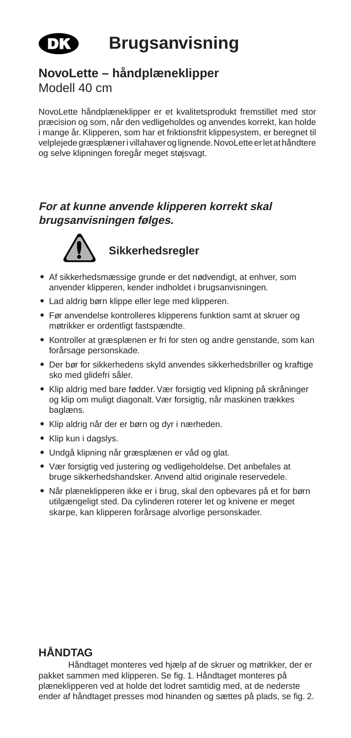

**Brugsanvisning**

#### **NovoLette – håndplæneklipper**

Modell 40 cm

NovoLette håndplæneklipper er et kvalitetsprodukt fremstillet med stor præcision og som, når den vedligeholdes og anvendes korrekt, kan holde i mange år. Klipperen, som har et friktionsfrit klippesystem, er beregnet til velplejede græsplæner i villahaver og lignende. NovoLette er let at håndtere og selve klipningen foregår meget støjsvagt.

#### **For at kunne anvende klipperen korrekt skal brugsanvisningen følges.**



#### **Sikkerhedsregler**

- **•** Af sikkerhedsmæssige grunde er det nødvendigt, at enhver, som anvender klipperen, kender indholdet i brugsanvisningen.
- **•** Lad aldrig børn klippe eller lege med klipperen.
- **•** Før anvendelse kontrolleres klipperens funktion samt at skruer og møtrikker er ordentligt fastspændte.
- **•** Kontroller at græsplænen er fri for sten og andre genstande, som kan forårsage personskade.
- **•** Der bør for sikkerhedens skyld anvendes sikkerhedsbriller og kraftige sko med glidefri såler.
- **•** Klip aldrig med bare fødder. Vær forsigtig ved klipning på skråninger og klip om muligt diagonalt. Vær forsigtig, når maskinen trækkes baglæns.
- **•** Klip aldrig når der er børn og dyr i nærheden.
- **•** Klip kun i dagslys.
- **•** Undgå klipning når græsplænen er våd og glat.
- **•** Vær forsigtig ved justering og vedligeholdelse. Det anbefales at bruge sikkerhedshandsker. Anvend altid originale reservedele.
- **•** Når plæneklipperen ikke er i brug, skal den opbevares på et for børn utilgængeligt sted. Da cylinderen roterer let og knivene er meget skarpe, kan klipperen forårsage alvorlige personskader.

#### **HÅNDTAG**

Håndtaget monteres ved hjælp af de skruer og møtrikker, der er pakket sammen med klipperen. Se fig. 1. Håndtaget monteres på plæneklipperen ved at holde det lodret samtidig med, at de nederste ender af håndtaget presses mod hinanden og sættes på plads, se fig. 2.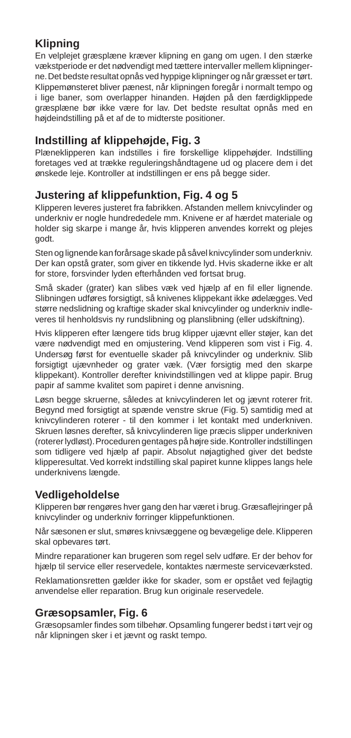#### **Klipning**

En velplejet græsplæne kræver klipning en gang om ugen. I den stærke vækstperiode er det nødvendigt med tættere intervaller mellem klipningerne. Det bedste resultat opnås ved hyppige klipninger og når græsset er tørt. Klippemønsteret bliver pænest, når klipningen foregår i normalt tempo og i lige baner, som overlapper hinanden. Højden på den færdigklippede græsplæne bør ikke være for lav. Det bedste resultat opnås med en højdeindstilling på et af de to midterste positioner.

#### **Indstilling af klippehøjde, Fig. 3**

Plæneklipperen kan indstilles i fire forskellige klippehøjder. Indstilling foretages ved at trække reguleringshåndtagene ud og placere dem i det ønskede leje. Kontroller at indstillingen er ens på begge sider.

#### **Justering af klippefunktion, Fig. 4 og 5**

Klipperen leveres justeret fra fabrikken. Afstanden mellem knivcylinder og underkniv er nogle hundrededele mm. Knivene er af hærdet materiale og holder sig skarpe i mange år, hvis klipperen anvendes korrekt og plejes godt.

Sten og lignende kan forårsage skade på såvel knivcylinder som underkniv. Der kan opstå grater, som giver en tikkende lyd. Hvis skaderne ikke er alt for store, forsvinder lyden efterhånden ved fortsat brug.

Små skader (grater) kan slibes væk ved hjælp af en fil eller lignende. Slibningen udføres forsigtigt, så knivenes klippekant ikke ødelægges. Ved større nedslidning og kraftige skader skal knivcylinder og underkniv indleveres til henholdsvis ny rundslibning og planslibning (eller udskiftning).

Hvis klipperen efter længere tids brug klipper ujævnt eller støjer, kan det være nødvendigt med en omjustering. Vend klipperen som vist i Fig. 4. Undersøg først for eventuelle skader på knivcylinder og underkniv. Slib forsigtigt ujævnheder og grater væk. (Vær forsigtig med den skarpe klippekant). Kontroller derefter knivindstillingen ved at klippe papir. Brug papir af samme kvalitet som papiret i denne anvisning.

Løsn begge skruerne, således at knivcylinderen let og jævnt roterer frit. Begynd med forsigtigt at spænde venstre skrue (Fig. 5) samtidig med at knivcylinderen roterer - til den kommer i let kontakt med underkniven. Skruen løsnes derefter, så knivcylinderen lige præcis slipper underkniven (roterer lydløst). Proceduren gentages på højre side. Kontroller indstillingen som tidligere ved hjælp af papir. Absolut nøjagtighed giver det bedste klipperesultat. Ved korrekt indstilling skal papiret kunne klippes langs hele underknivens længde.

#### **Vedligeholdelse**

Klipperen bør rengøres hver gang den har været i brug. Græsaflejringer på knivcylinder og underkniv forringer klippefunktionen.

Når sæsonen er slut, smøres knivsæggene og bevægelige dele. Klipperen skal opbevares tørt.

Mindre reparationer kan brugeren som regel selv udføre. Er der behov for hjælp til service eller reservedele, kontaktes nærmeste serviceværksted.

Reklamationsretten gælder ikke for skader, som er opstået ved fejlagtig anvendelse eller reparation. Brug kun originale reservedele.

#### **Græsopsamler, Fig. 6**

Græsopsamler findes som tilbehør. Opsamling fungerer bedst i tørt vejr og når klipningen sker i et jævnt og raskt tempo.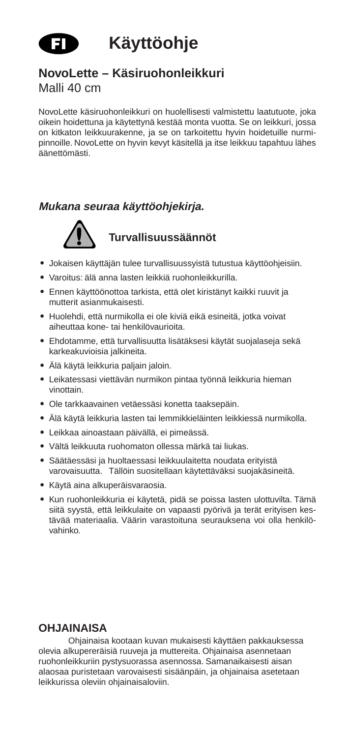

#### **NovoLette – Käsiruohonleikkuri**

Malli 40 cm

NovoLette käsiruohonleikkuri on huolellisesti valmistettu laatutuote, joka oikein hoidettuna ja käytettynä kestää monta vuotta. Se on leikkuri, jossa on kitkaton leikkuurakenne, ja se on tarkoitettu hyvin hoidetuille nurmipinnoille. NovoLette on hyvin kevyt käsitellä ja itse leikkuu tapahtuu lähes äänettömästi.

#### **Mukana seuraa käyttöohjekirja.**



#### **Turvallisuussäännöt**

- **•** Jokaisen käyttäjän tulee turvallisuussyistä tutustua käyttöohjeisiin.
- **•** Varoitus: älä anna lasten leikkiä ruohonleikkurilla.
- **•** Ennen käyttöönottoa tarkista, että olet kiristänyt kaikki ruuvit ja mutterit asianmukaisesti.
- **•** Huolehdi, että nurmikolla ei ole kiviä eikä esineitä, jotka voivat aiheuttaa kone- tai henkilövaurioita.
- **•** Ehdotamme, että turvallisuutta lisätäksesi käytät suojalaseja sekä karkeakuvioisia jalkineita.
- **•** Älä käytä leikkuria paljain jaloin.
- **•** Leikatessasi viettävän nurmikon pintaa työnnä leikkuria hieman vinottain.
- **•** Ole tarkkaavainen vetäessäsi konetta taaksepäin.
- **•** Älä käytä leikkuria lasten tai lemmikkieläinten leikkiessä nurmikolla.
- **•** Leikkaa ainoastaan päivällä, ei pimeässä.
- **•** Vältä leikkuuta ruohomaton ollessa märkä tai liukas.
- **•** Säätäessäsi ja huoltaessasi leikkuulaitetta noudata erityistä varovaisuutta. Tällöin suositellaan käytettäväksi suojakäsineitä.
- **•** Käytä aina alkuperäisvaraosia.
- **•** Kun ruohonleikkuria ei käytetä, pidä se poissa lasten ulottuvilta. Tämä siitä syystä, että leikkulaite on vapaasti pyörivä ja terät erityisen kestävää materiaalia. Väärin varastoituna seurauksena voi olla henkilövahinko.

#### **OHJAINAISA**

Ohjainaisa kootaan kuvan mukaisesti käyttäen pakkauksessa olevia alkupereräisiä ruuveja ja muttereita. Ohjainaisa asennetaan ruohonleikkuriin pystysuorassa asennossa. Samanaikaisesti aisan alaosaa puristetaan varovaisesti sisäänpäin, ja ohjainaisa asetetaan leikkurissa oleviin ohjainaisaloviin.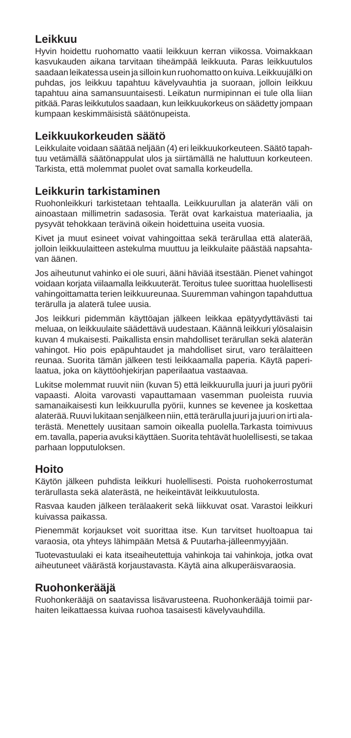#### **Leikkuu**

Hyvin hoidettu ruohomatto vaatii leikkuun kerran viikossa. Voimakkaan kasvukauden aikana tarvitaan tiheämpää leikkuuta. Paras leikkuutulos saadaan leikatessa usein ja silloin kun ruohomatto on kuiva. Leikkuujälki on puhdas, jos leikkuu tapahtuu kävelyvauhtia ja suoraan, jolloin leikkuu tapahtuu aina samansuuntaisesti. Leikatun nurmipinnan ei tule olla liian pitkää. Paras leikkutulos saadaan, kun leikkuukorkeus on säädetty jompaan kumpaan keskimmäisistä säätönupeista.

#### **Leikkuukorkeuden säätö**

Leikkulaite voidaan säätää neljään (4) eri leikkuukorkeuteen. Säätö tapahtuu vetämällä säätönappulat ulos ja siirtämällä ne haluttuun korkeuteen. Tarkista, että molemmat puolet ovat samalla korkeudella.

#### **Leikkurin tarkistaminen**

Ruohonleikkuri tarkistetaan tehtaalla. Leikkuurullan ja alaterän väli on ainoastaan millimetrin sadasosia. Terät ovat karkaistua materiaalia, ja pysyvät tehokkaan terävinä oikein hoidettuina useita vuosia.

Kivet ja muut esineet voivat vahingoittaa sekä terärullaa että alaterää, jolloin leikkuulaitteen astekulma muuttuu ja leikkulaite päästää napsahtavan äänen.

Jos aiheutunut vahinko ei ole suuri, ääni häviää itsestään. Pienet vahingot voidaan korjata viilaamalla leikkuuterät. Teroitus tulee suorittaa huolellisesti vahingoittamatta terien leikkuureunaa. Suuremman vahingon tapahduttua terärulla ja alaterä tulee uusia.

Jos leikkuri pidemmän käyttöajan jälkeen leikkaa epätyydyttävästi tai meluaa, on leikkuulaite säädettävä uudestaan. Käännä leikkuri ylösalaisin kuvan 4 mukaisesti. Paikallista ensin mahdolliset terärullan sekä alaterän vahingot. Hio pois epäpuhtaudet ja mahdolliset sirut, varo terälaitteen reunaa. Suorita tämän jälkeen testi leikkaamalla paperia. Käytä paperilaatua, joka on käyttöohjekirjan paperilaatua vastaavaa.

Lukitse molemmat ruuvit niin (kuvan 5) että leikkuurulla juuri ja juuri pyörii vapaasti. Aloita varovasti vapauttamaan vasemman puoleista ruuvia samanaikaisesti kun leikkuurulla pyörii, kunnes se kevenee ja koskettaa alaterää. Ruuvi lukitaan senjälkeen niin, että terärulla juuri ja juuri on irti alaterästä. Menettely uusitaan samoin oikealla puolella.Tarkasta toimivuus em. tavalla, paperia avuksi käyttäen. Suorita tehtävät huolellisesti, se takaa parhaan lopputuloksen.

#### **Hoito**

Käytön jälkeen puhdista leikkuri huolellisesti. Poista ruohokerrostumat terärullasta sekä alaterästä, ne heikeintävät leikkuutulosta.

Rasvaa kauden jälkeen terälaakerit sekä liikkuvat osat. Varastoi leikkuri kuivassa paikassa.

Pienemmät korjaukset voit suorittaa itse. Kun tarvitset huoltoapua tai varaosia, ota yhteys lähimpään Metsä & Puutarha-jälleenmyyjään.

Tuotevastuulaki ei kata itseaiheutettuja vahinkoja tai vahinkoja, jotka ovat aiheutuneet väärästä korjaustavasta. Käytä aina alkuperäisvaraosia.

#### **Ruohonkerääjä**

Ruohonkerääjä on saatavissa lisävarusteena. Ruohonkerääjä toimii parhaiten leikattaessa kuivaa ruohoa tasaisesti kävelyvauhdilla.